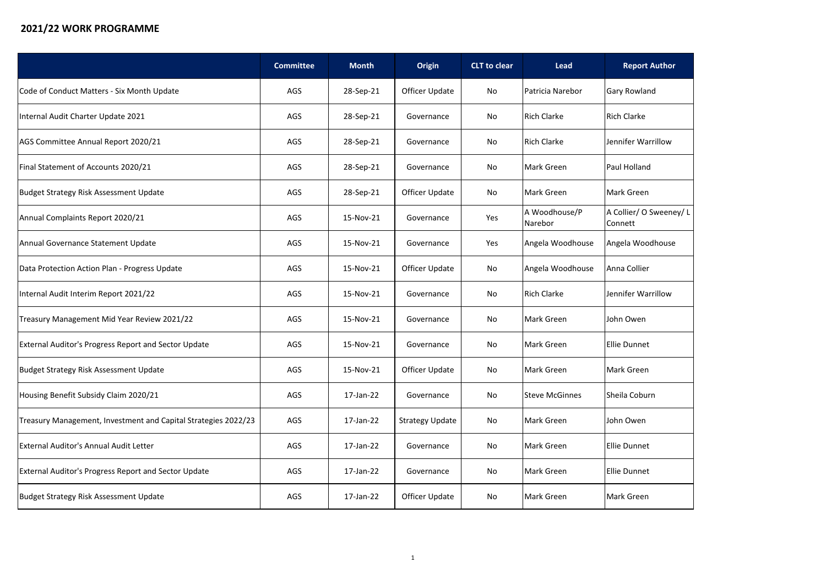## **2021/22 WORK PROGRAMME**

|                                                                | <b>Committee</b> | <b>Month</b> | <b>Origin</b>          | <b>CLT</b> to clear | <b>Lead</b>              | <b>Report Author</b>               |
|----------------------------------------------------------------|------------------|--------------|------------------------|---------------------|--------------------------|------------------------------------|
| Code of Conduct Matters - Six Month Update                     | <b>AGS</b>       | 28-Sep-21    | Officer Update         | No                  | Patricia Narebor         | <b>Gary Rowland</b>                |
| Internal Audit Charter Update 2021                             | AGS              | 28-Sep-21    | Governance             | No                  | <b>Rich Clarke</b>       | <b>Rich Clarke</b>                 |
| AGS Committee Annual Report 2020/21                            | AGS              | 28-Sep-21    | Governance             | No                  | <b>Rich Clarke</b>       | Jennifer Warrillow                 |
| Final Statement of Accounts 2020/21                            | AGS              | 28-Sep-21    | Governance             | No                  | Mark Green               | Paul Holland                       |
| Budget Strategy Risk Assessment Update                         | AGS              | 28-Sep-21    | <b>Officer Update</b>  | No                  | Mark Green               | Mark Green                         |
| Annual Complaints Report 2020/21                               | AGS              | 15-Nov-21    | Governance             | Yes                 | A Woodhouse/P<br>Narebor | A Collier/ O Sweeney/ L<br>Connett |
| Annual Governance Statement Update                             | AGS              | 15-Nov-21    | Governance             | Yes                 | Angela Woodhouse         | Angela Woodhouse                   |
| Data Protection Action Plan - Progress Update                  | AGS              | 15-Nov-21    | Officer Update         | No                  | Angela Woodhouse         | Anna Collier                       |
| Internal Audit Interim Report 2021/22                          | AGS              | 15-Nov-21    | Governance             | No                  | <b>Rich Clarke</b>       | Jennifer Warrillow                 |
| Treasury Management Mid Year Review 2021/22                    | <b>AGS</b>       | 15-Nov-21    | Governance             | No                  | Mark Green               | John Owen                          |
| <b>External Auditor's Progress Report and Sector Update</b>    | AGS              | 15-Nov-21    | Governance             | No                  | Mark Green               | <b>Ellie Dunnet</b>                |
| Budget Strategy Risk Assessment Update                         | AGS              | 15-Nov-21    | Officer Update         | No                  | <b>Mark Green</b>        | Mark Green                         |
| Housing Benefit Subsidy Claim 2020/21                          | AGS              | $17$ -Jan-22 | Governance             | No                  | <b>Steve McGinnes</b>    | Sheila Coburn                      |
| Treasury Management, Investment and Capital Strategies 2022/23 | AGS              | 17-Jan-22    | <b>Strategy Update</b> | No                  | Mark Green               | John Owen                          |
| <b>External Auditor's Annual Audit Letter</b>                  | AGS              | 17-Jan-22    | Governance             | No                  | Mark Green               | <b>Ellie Dunnet</b>                |
| <b>External Auditor's Progress Report and Sector Update</b>    | AGS              | 17-Jan-22    | Governance             | No                  | Mark Green               | <b>Ellie Dunnet</b>                |
| Budget Strategy Risk Assessment Update                         | AGS              | 17-Jan-22    | Officer Update         | No                  | Mark Green               | Mark Green                         |